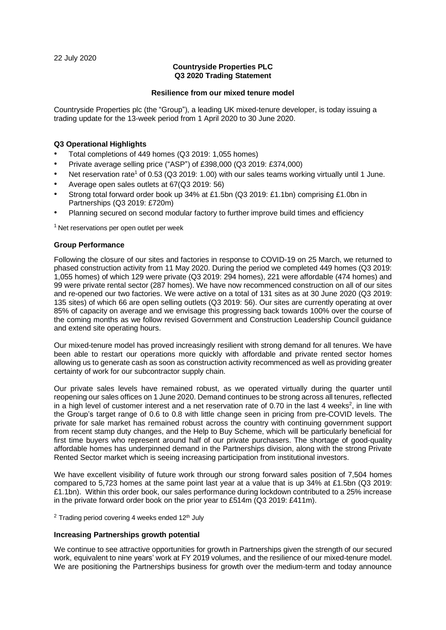22 July 2020

## **Countryside Properties PLC Q3 2020 Trading Statement**

#### **Resilience from our mixed tenure model**

Countryside Properties plc (the "Group"), a leading UK mixed-tenure developer, is today issuing a trading update for the 13-week period from 1 April 2020 to 30 June 2020.

## **Q3 Operational Highlights**

- Total completions of 449 homes (Q3 2019: 1,055 homes)
- Private average selling price ("ASP") of £398,000 (Q3 2019: £374,000)
- Net reservation rate<sup>1</sup> of 0.53 (Q3 2019: 1.00) with our sales teams working virtually until 1 June.
- Average open sales outlets at 67(Q3 2019: 56)
- Strong total forward order book up 34% at £1.5bn (Q3 2019: £1.1bn) comprising £1.0bn in Partnerships (Q3 2019: £720m)
- Planning secured on second modular factory to further improve build times and efficiency

 $1$  Net reservations per open outlet per week

## **Group Performance**

Following the closure of our sites and factories in response to COVID-19 on 25 March, we returned to phased construction activity from 11 May 2020. During the period we completed 449 homes (Q3 2019: 1,055 homes) of which 129 were private (Q3 2019: 294 homes), 221 were affordable (474 homes) and 99 were private rental sector (287 homes). We have now recommenced construction on all of our sites and re-opened our two factories. We were active on a total of 131 sites as at 30 June 2020 (Q3 2019: 135 sites) of which 66 are open selling outlets (Q3 2019: 56). Our sites are currently operating at over 85% of capacity on average and we envisage this progressing back towards 100% over the course of the coming months as we follow revised Government and Construction Leadership Council guidance and extend site operating hours.

Our mixed-tenure model has proved increasingly resilient with strong demand for all tenures. We have been able to restart our operations more quickly with affordable and private rented sector homes allowing us to generate cash as soon as construction activity recommenced as well as providing greater certainty of work for our subcontractor supply chain.

Our private sales levels have remained robust, as we operated virtually during the quarter until reopening our sales offices on 1 June 2020. Demand continues to be strong across all tenures, reflected in a high level of customer interest and a net reservation rate of 0.70 in the last 4 weeks<sup>2</sup>, in line with the Group's target range of 0.6 to 0.8 with little change seen in pricing from pre-COVID levels. The private for sale market has remained robust across the country with continuing government support from recent stamp duty changes, and the Help to Buy Scheme, which will be particularly beneficial for first time buyers who represent around half of our private purchasers. The shortage of good-quality affordable homes has underpinned demand in the Partnerships division, along with the strong Private Rented Sector market which is seeing increasing participation from institutional investors.

We have excellent visibility of future work through our strong forward sales position of 7,504 homes compared to 5,723 homes at the same point last year at a value that is up 34% at £1.5bn (Q3 2019: £1.1bn). Within this order book, our sales performance during lockdown contributed to a 25% increase in the private forward order book on the prior year to £514m (Q3 2019: £411m).

 $2$  Trading period covering 4 weeks ended 12<sup>th</sup> July

#### **Increasing Partnerships growth potential**

We continue to see attractive opportunities for growth in Partnerships given the strength of our secured work, equivalent to nine years' work at FY 2019 volumes, and the resilience of our mixed-tenure model. We are positioning the Partnerships business for growth over the medium-term and today announce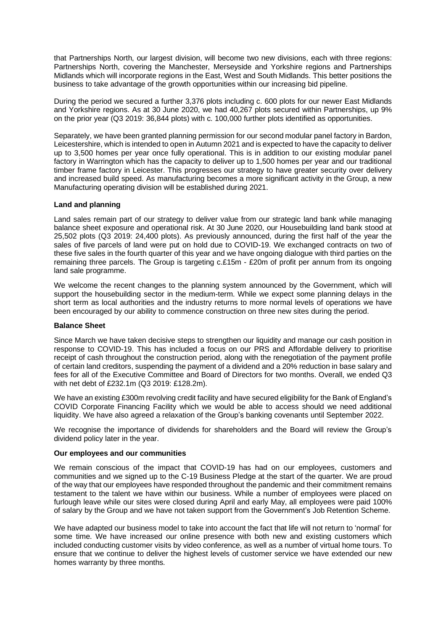that Partnerships North, our largest division, will become two new divisions, each with three regions: Partnerships North, covering the Manchester, Merseyside and Yorkshire regions and Partnerships Midlands which will incorporate regions in the East, West and South Midlands. This better positions the business to take advantage of the growth opportunities within our increasing bid pipeline.

During the period we secured a further 3,376 plots including c. 600 plots for our newer East Midlands and Yorkshire regions. As at 30 June 2020, we had 40,267 plots secured within Partnerships, up 9% on the prior year (Q3 2019: 36,844 plots) with c. 100,000 further plots identified as opportunities.

Separately, we have been granted planning permission for our second modular panel factory in Bardon, Leicestershire, which is intended to open in Autumn 2021 and is expected to have the capacity to deliver up to 3,500 homes per year once fully operational. This is in addition to our existing modular panel factory in Warrington which has the capacity to deliver up to 1,500 homes per year and our traditional timber frame factory in Leicester. This progresses our strategy to have greater security over delivery and increased build speed. As manufacturing becomes a more significant activity in the Group, a new Manufacturing operating division will be established during 2021.

## **Land and planning**

Land sales remain part of our strategy to deliver value from our strategic land bank while managing balance sheet exposure and operational risk. At 30 June 2020, our Housebuilding land bank stood at 25,502 plots (Q3 2019: 24,400 plots). As previously announced, during the first half of the year the sales of five parcels of land were put on hold due to COVID-19. We exchanged contracts on two of these five sales in the fourth quarter of this year and we have ongoing dialogue with third parties on the remaining three parcels. The Group is targeting c.£15m - £20m of profit per annum from its ongoing land sale programme.

We welcome the recent changes to the planning system announced by the Government, which will support the housebuilding sector in the medium-term. While we expect some planning delays in the short term as local authorities and the industry returns to more normal levels of operations we have been encouraged by our ability to commence construction on three new sites during the period.

#### **Balance Sheet**

Since March we have taken decisive steps to strengthen our liquidity and manage our cash position in response to COVID-19. This has included a focus on our PRS and Affordable delivery to prioritise receipt of cash throughout the construction period, along with the renegotiation of the payment profile of certain land creditors, suspending the payment of a dividend and a 20% reduction in base salary and fees for all of the Executive Committee and Board of Directors for two months. Overall, we ended Q3 with net debt of £232.1m (Q3 2019: £128.2m).

We have an existing £300m revolving credit facility and have secured eligibility for the Bank of England's COVID Corporate Financing Facility which we would be able to access should we need additional liquidity. We have also agreed a relaxation of the Group's banking covenants until September 2022.

We recognise the importance of dividends for shareholders and the Board will review the Group's dividend policy later in the year.

#### **Our employees and our communities**

We remain conscious of the impact that COVID-19 has had on our employees, customers and communities and we signed up to the C-19 Business Pledge at the start of the quarter. We are proud of the way that our employees have responded throughout the pandemic and their commitment remains testament to the talent we have within our business. While a number of employees were placed on furlough leave while our sites were closed during April and early May, all employees were paid 100% of salary by the Group and we have not taken support from the Government's Job Retention Scheme.

We have adapted our business model to take into account the fact that life will not return to 'normal' for some time. We have increased our online presence with both new and existing customers which included conducting customer visits by video conference, as well as a number of virtual home tours. To ensure that we continue to deliver the highest levels of customer service we have extended our new homes warranty by three months.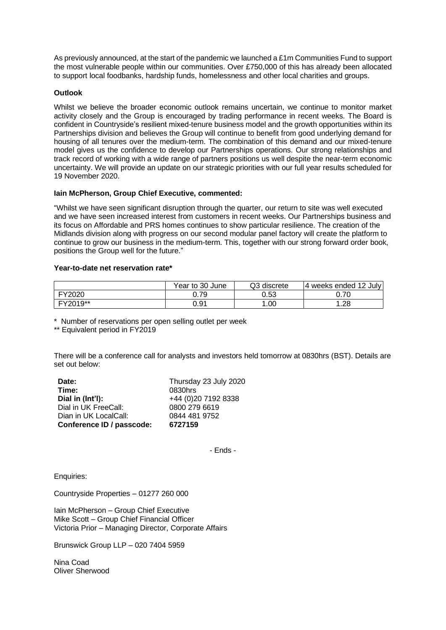As previously announced, at the start of the pandemic we launched a £1m Communities Fund to support the most vulnerable people within our communities. Over £750,000 of this has already been allocated to support local foodbanks, hardship funds, homelessness and other local charities and groups.

## **Outlook**

Whilst we believe the broader economic outlook remains uncertain, we continue to monitor market activity closely and the Group is encouraged by trading performance in recent weeks. The Board is confident in Countryside's resilient mixed-tenure business model and the growth opportunities within its Partnerships division and believes the Group will continue to benefit from good underlying demand for housing of all tenures over the medium-term. The combination of this demand and our mixed-tenure model gives us the confidence to develop our Partnerships operations. Our strong relationships and track record of working with a wide range of partners positions us well despite the near-term economic uncertainty. We will provide an update on our strategic priorities with our full year results scheduled for 19 November 2020.

## **Iain McPherson, Group Chief Executive, commented:**

"Whilst we have seen significant disruption through the quarter, our return to site was well executed and we have seen increased interest from customers in recent weeks. Our Partnerships business and its focus on Affordable and PRS homes continues to show particular resilience. The creation of the Midlands division along with progress on our second modular panel factory will create the platform to continue to grow our business in the medium-term. This, together with our strong forward order book, positions the Group well for the future."

# **Year-to-date net reservation rate\***

|          | Year to 30 June | Q3 discrete | 4 weeks ended 12 July |
|----------|-----------------|-------------|-----------------------|
| FY2020   | Ა.79            | 0.53        | 0.70                  |
| FY2019** | 0.91            | .00         | l.28                  |

\* Number of reservations per open selling outlet per week

\*\* Equivalent period in FY2019

There will be a conference call for analysts and investors held tomorrow at 0830hrs (BST). Details are set out below:

| Date:                     | Thursday 23 July 2020 |
|---------------------------|-----------------------|
| Time:                     | 0830hrs               |
| Dial in (Int'l):          | +44 (0) 20 7192 8338  |
| Dial in UK FreeCall:      | 0800 279 6619         |
| Dian in UK LocalCall:     | 0844 481 9752         |
| Conference ID / passcode: | 6727159               |

- Ends -

Enquiries:

Countryside Properties – 01277 260 000

Iain McPherson – Group Chief Executive Mike Scott – Group Chief Financial Officer Victoria Prior – Managing Director, Corporate Affairs

Brunswick Group LLP – 020 7404 5959

Nina Coad Oliver Sherwood